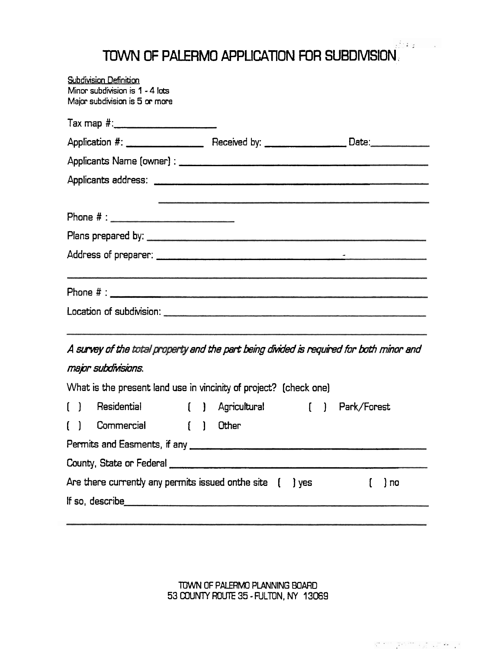## TOWN **OF** PALERMO **APPLICATION** FOR SUBDMSION;

| <b>Subdivision Definition</b><br>Minor subdivision is 1 - 4 lots<br>Major subdivision is 5 or more |         |           |
|----------------------------------------------------------------------------------------------------|---------|-----------|
|                                                                                                    |         |           |
|                                                                                                    |         |           |
|                                                                                                    |         |           |
|                                                                                                    |         |           |
|                                                                                                    |         |           |
|                                                                                                    |         |           |
|                                                                                                    |         |           |
|                                                                                                    |         |           |
| A survey of the total property and the part being divided is required for both minor and           |         |           |
| major subdivisions.                                                                                |         |           |
| What is the present land use in vincinity of project? (check one)                                  |         |           |
| () Residential () Agricultural () Park/Forest                                                      |         |           |
| () Commercial () Other                                                                             |         |           |
| Permits and Easments, if any <b>container and Easternal Contract Containers</b>                    |         |           |
|                                                                                                    |         |           |
| Are there currently any permits issued onthe site [                                                | $]$ yes | ) no<br>U |
|                                                                                                    |         |           |
|                                                                                                    |         |           |

**TOWN OF PALERMO PLANNING BOARD 53** *COUNTY* ROUTE **35** - FULTON, **NY 13GG9**